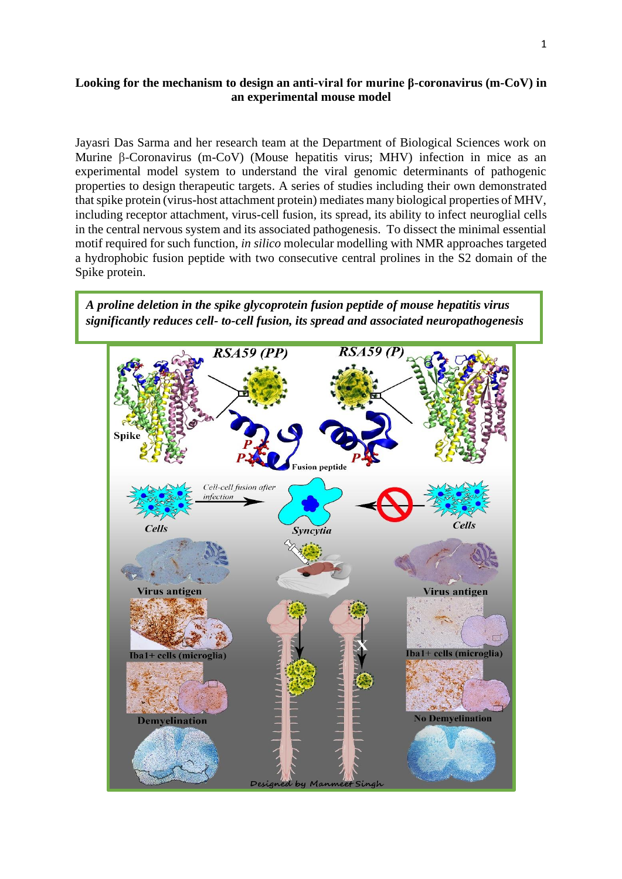## **Looking for the mechanism to design an anti-viral for murine β-coronavirus (m-CoV) in an experimental mouse model**

Jayasri Das Sarma and her research team at the Department of Biological Sciences work on Murine β-Coronavirus (m-CoV) (Mouse hepatitis virus; MHV) infection in mice as an experimental model system to understand the viral genomic determinants of pathogenic properties to design therapeutic targets. A series of studies including their own demonstrated that spike protein (virus-host attachment protein) mediates many biological properties of MHV, including receptor attachment, virus-cell fusion, its spread, its ability to infect neuroglial cells in the central nervous system and its associated pathogenesis. To dissect the minimal essential motif required for such function, *in silico* molecular modelling with NMR approaches targeted a hydrophobic fusion peptide with two consecutive central prolines in the S2 domain of the Spike protein.

*A proline deletion in the spike glycoprotein fusion peptide of mouse hepatitis virus significantly reduces cell- to-cell fusion, its spread and associated neuropathogenesis*

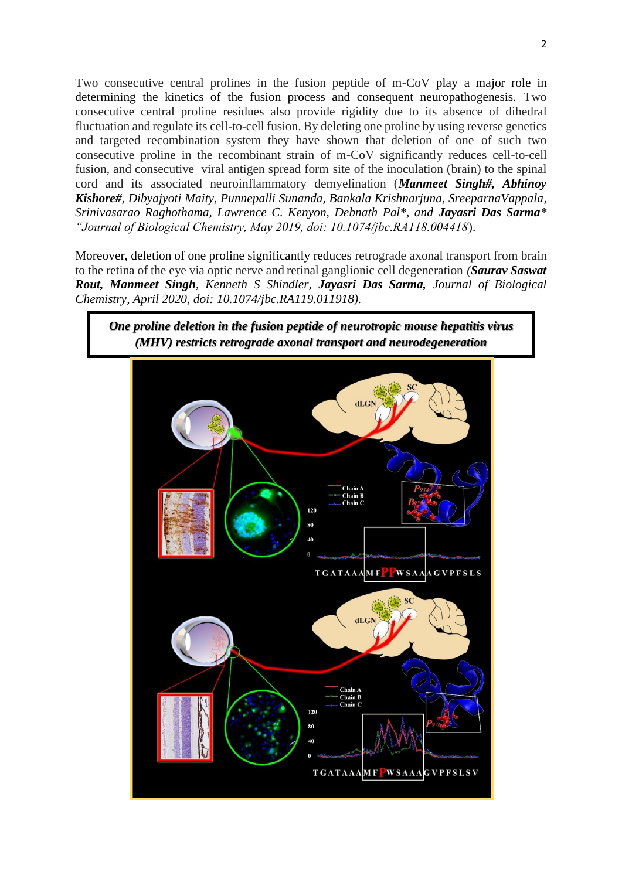Two consecutive central prolines in the fusion peptide of m-CoV play a major role in determining the kinetics of the fusion process and consequent neuropathogenesis. Two consecutive central proline residues also provide rigidity due to its absence of dihedral fluctuation and regulate its cell-to-cell fusion. By deleting one proline by using reverse genetics and targeted recombination system they have shown that deletion of one of such two consecutive proline in the recombinant strain of m-CoV significantly reduces cell-to-cell fusion, and consecutive viral antigen spread form site of the inoculation (brain) to the spinal cord and its associated neuroinflammatory demyelination (*Manmeet Singh#, Abhinoy Kishore#, Dibyajyoti Maity, Punnepalli Sunanda, Bankala Krishnarjuna, SreeparnaVappala, Srinivasarao Raghothama, Lawrence C. Kenyon, Debnath Pal<sup>\*</sup>, and Jayasri Das Sarma<sup>\*</sup> "Journal of Biological Chemistry, May 2019, doi: 10.1074/jbc.RA118.004418*).

Moreover, deletion of one proline significantly reduces retrograde axonal transport from brain to the retina of the eye via optic nerve and retinal ganglionic cell degeneration *(Saurav Saswat Rout, Manmeet Singh, Kenneth S Shindler, Jayasri Das Sarma, Journal of Biological Chemistry, April 2020, doi: 10.1074/jbc.RA119.011918).*

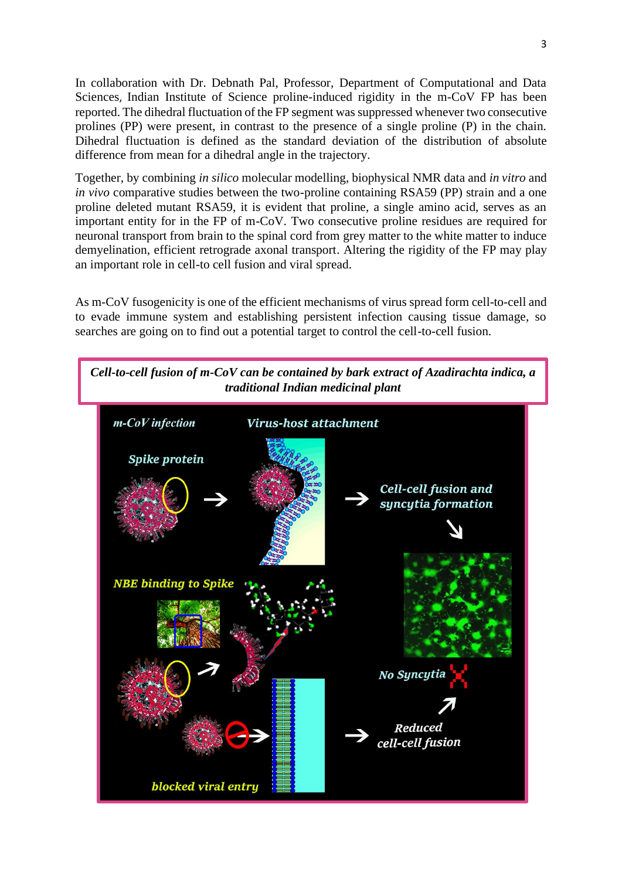In collaboration with Dr. Debnath Pal, Professor, [Department of Computational and Data](http://www.cds.iisc.ac.in/)  [Sciences](http://www.cds.iisc.ac.in/), [Indian Institute of Science](http://www.iisc.ernet.in/) proline-induced rigidity in the m-CoV FP has been reported. The dihedral fluctuation of the FP segment was suppressed whenever two consecutive prolines (PP) were present, in contrast to the presence of a single proline (P) in the chain. Dihedral fluctuation is defined as the standard deviation of the distribution of absolute difference from mean for a dihedral angle in the trajectory.

Together, by combining *in silico* molecular modelling, biophysical NMR data and *in vitro* and *in vivo* comparative studies between the two-proline containing RSA59 (PP) strain and a one proline deleted mutant RSA59, it is evident that proline, a single amino acid, serves as an important entity for in the FP of m-CoV. Two consecutive proline residues are required for neuronal transport from brain to the spinal cord from grey matter to the white matter to induce demyelination, efficient retrograde axonal transport. Altering the rigidity of the FP may play an important role in cell-to cell fusion and viral spread.

As m-CoV fusogenicity is one of the efficient mechanisms of virus spread form cell-to-cell and to evade immune system and establishing persistent infection causing tissue damage, so searches are going on to find out a potential target to control the cell-to-cell fusion.